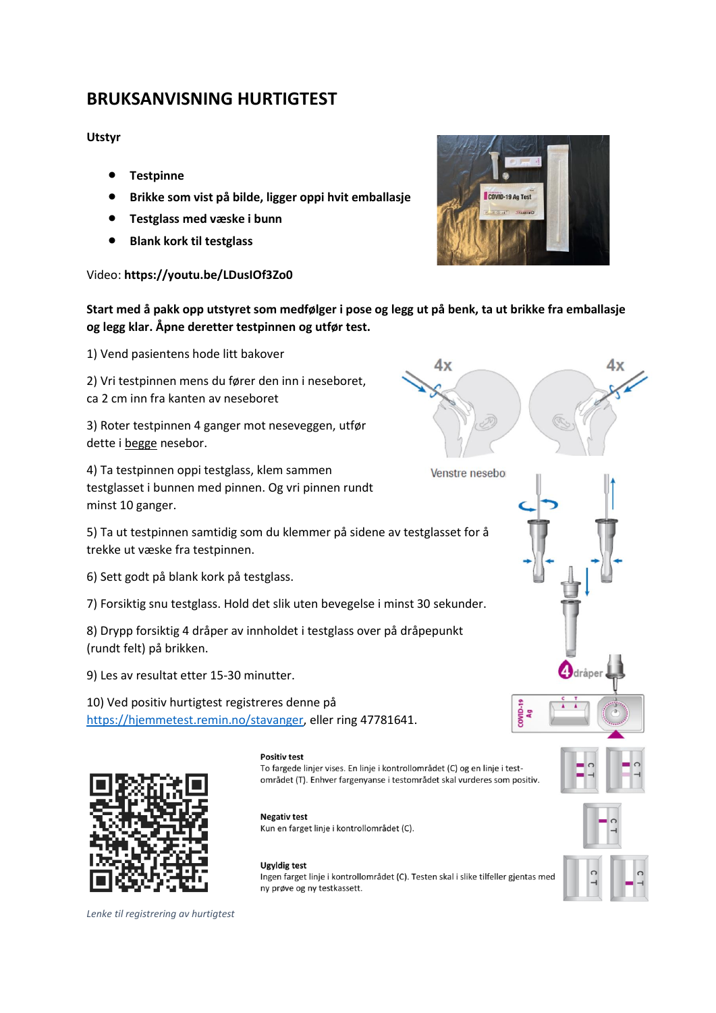## **BRUKSANVISNING HURTIGTEST**

### **Utstyr**

- **Testpinne**
- **Brikke som vist på bilde, ligger oppi hvit emballasje**
- **Testglass med væske i bunn**
- **Blank kork til testglass**

### Video: **https://youtu.be/LDusIOf3Zo0**



### **Start med å pakk opp utstyret som medfølger i pose og legg ut på benk, ta ut brikke fra emballasje og legg klar. Åpne deretter testpinnen og utfør test.**

 $4x$ 

1) Vend pasientens hode litt bakover

2) Vri testpinnen mens du fører den inn i neseboret, ca 2 cm inn fra kanten av neseboret

3) Roter testpinnen 4 ganger mot neseveggen, utfør dette i begge nesebor.

4) Ta testpinnen oppi testglass, klem sammen testglasset i bunnen med pinnen. Og vri pinnen rundt minst 10 ganger.

5) Ta ut testpinnen samtidig som du klemmer på sidene av testglasset for å trekke ut væske fra testpinnen.

6) Sett godt på blank kork på testglass.

7) Forsiktig snu testglass. Hold det slik uten bevegelse i minst 30 sekunder.

8) Drypp forsiktig 4 dråper av innholdet i testglass over på dråpepunkt (rundt felt) på brikken.

9) Les av resultat etter 15-30 minutter.

10) Ved positiv hurtigtest registreres denne på [https://hjemmetest.remin.no/stavanger,](https://hjemmetest.remin.no/stavanger) eller ring 47781641.



### **Positiv test** To fargede linjer vises. En linje i kontrollområdet (C) og en linje i test-

**Negativ test** 

**Ugyldig test** 

ny prøve og ny testkassett.

Kun en farget linje i kontrollområdet (C).

området (T). Enhver fargenyanse i testområdet skal vurderes som positiv.

# Ingen farget linje i kontrollområdet (C). Testen skal i slike tilfeller gjentas med

dråper

*Lenke til registrering av hurtigtest*



 $2000-19$ 

 $4x$